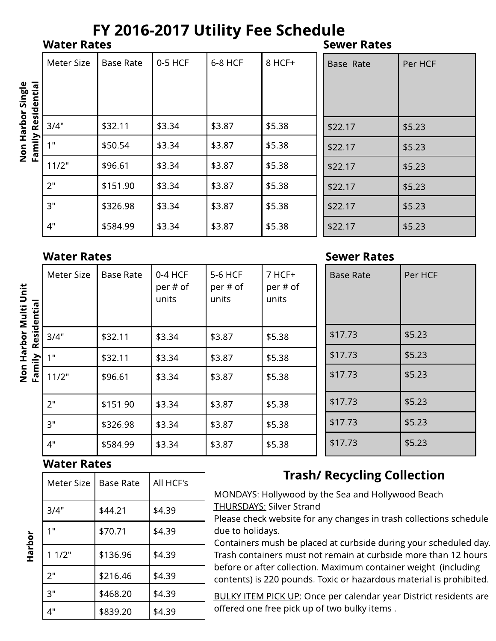# FY 2016-2017 Utility Fee Schedule

**Water Rates** 

Non Harbor Single

Non Harbor Multi Unit

Harbor

**Sewer Rates** 

Per HCF

\$5.23

\$5.23

\$5.23

\$5.23

\$5.23

\$5.23

|             | Meter Size | <b>Base Rate</b> | $0-5$ HCF | 6-8 HCF | $8$ HCF+ | Base Rate |
|-------------|------------|------------------|-----------|---------|----------|-----------|
|             |            |                  |           |         |          |           |
| Residential |            |                  |           |         |          |           |
|             | 3/4"       | \$32.11          | \$3.34    | \$3.87  | \$5.38   | \$22.17   |
| Family      | 1"         | \$50.54          | \$3.34    | \$3.87  | \$5.38   | \$22.17   |
|             | 11/2"      | \$96.61          | \$3.34    | \$3.87  | \$5.38   | \$22.17   |
|             | 2"         | \$151.90         | \$3.34    | \$3.87  | \$5.38   | \$22.17   |
|             | 3"         | \$326.98         | \$3.34    | \$3.87  | \$5.38   | \$22.17   |
|             | 4"         | \$584.99         | \$3.34    | \$3.87  | \$5.38   | \$22.17   |

### Wator **Datos**

|             | water Rates |                  |                                |                              |                               |  | Sewer Rates      |         |  |
|-------------|-------------|------------------|--------------------------------|------------------------------|-------------------------------|--|------------------|---------|--|
| Residential | Meter Size  | <b>Base Rate</b> | $0-4$ HCF<br>per # of<br>units | 5-6 HCF<br>per # of<br>units | $7$ HCF+<br>per # of<br>units |  | <b>Base Rate</b> | Per HCF |  |
|             | 3/4"        | \$32.11          | \$3.34                         | \$3.87                       | \$5.38                        |  | \$17.73          | \$5.23  |  |
|             | 1"          | \$32.11          | \$3.34                         | \$3.87                       | \$5.38                        |  | \$17.73          | \$5.23  |  |
| Family      | 11/2"       | \$96.61          | \$3.34                         | \$3.87                       | \$5.38                        |  | \$17.73          | \$5.23  |  |
|             | 2"          | \$151.90         | \$3.34                         | \$3.87                       | \$5.38                        |  | \$17.73          | \$5.23  |  |
|             | 3"          | \$326.98         | \$3.34                         | \$3.87                       | \$5.38                        |  | \$17.73          | \$5.23  |  |
|             | 4"          | \$584.99         | \$3.34                         | \$3.87                       | \$5.38                        |  | \$17.73          | \$5.23  |  |

#### **Water Rates**

| <b>Meter Size</b> | <b>Base Rate</b> | All HCF's |
|-------------------|------------------|-----------|
| 3/4"              | \$44.21          | \$4.39    |
| 1 <sup>0</sup>    | \$70.71          | \$4.39    |
| 11/2"             | \$136.96         | \$4.39    |
| 2"                | \$216.46         | \$4.39    |
| 3"                | \$468.20         | \$4.39    |
| 4"                | \$839.20         | \$4.39    |

## **Trash/ Recycling Collection**

 $\cdots$   $\mathbf{R}$   $\mathbf{A}$ 

MONDAYS: Hollywood by the Sea and Hollywood Beach **THURSDAYS: Silver Strand** 

Please check website for any changes in trash collections schedule due to holidays.

Containers mush be placed at curbside during your scheduled day. Trash containers must not remain at curbside more than 12 hours before or after collection. Maximum container weight (including contents) is 220 pounds. Toxic or hazardous material is prohibited.

**BULKY ITEM PICK UP: Once per calendar year District residents are** offered one free pick up of two bulky items.